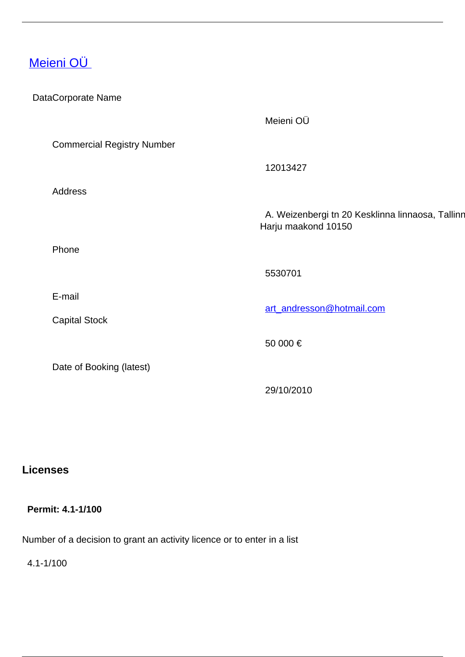# [Meieni OÜ](/en/payment-services/payment-institutions/estonian-payment-institutions/meieni-ou)

| DataCorporate Name |                                   |                                                                         |
|--------------------|-----------------------------------|-------------------------------------------------------------------------|
|                    |                                   | Meieni OÜ                                                               |
|                    | <b>Commercial Registry Number</b> |                                                                         |
|                    |                                   | 12013427                                                                |
|                    | Address                           |                                                                         |
|                    |                                   | A. Weizenbergi tn 20 Kesklinna linnaosa, Tallinn<br>Harju maakond 10150 |
|                    | Phone                             |                                                                         |
|                    |                                   | 5530701                                                                 |
|                    | E-mail                            | art andresson@hotmail.com                                               |
|                    | <b>Capital Stock</b>              |                                                                         |
|                    |                                   | 50 000 €                                                                |
|                    | Date of Booking (latest)          |                                                                         |
|                    |                                   | 29/10/2010                                                              |

## **Licenses**

#### **Permit: 4.1-1/100**

Number of a decision to grant an activity licence or to enter in a list

4.1-1/100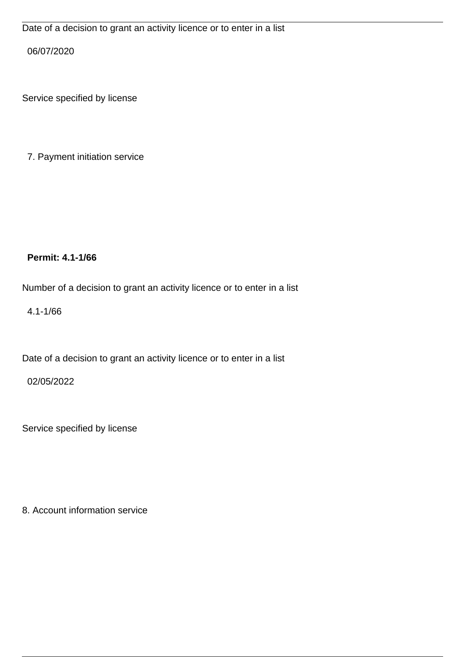06/07/2020

Service specified by license

7. Payment initiation service

 **Permit: 4.1-1/66** 

Number of a decision to grant an activity licence or to enter in a list

4.1-1/66

Date of a decision to grant an activity licence or to enter in a list

02/05/2022

Service specified by license

8. Account information service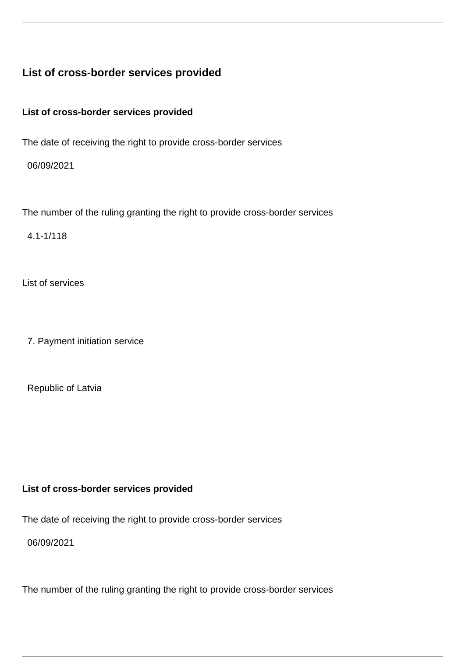### **List of cross-border services provided**

**List of cross-border services provided**

The date of receiving the right to provide cross-border services

06/09/2021

The number of the ruling granting the right to provide cross-border services

4.1-1/118

List of services

7. Payment initiation service

Republic of Latvia

#### **List of cross-border services provided**

The date of receiving the right to provide cross-border services

06/09/2021

The number of the ruling granting the right to provide cross-border services